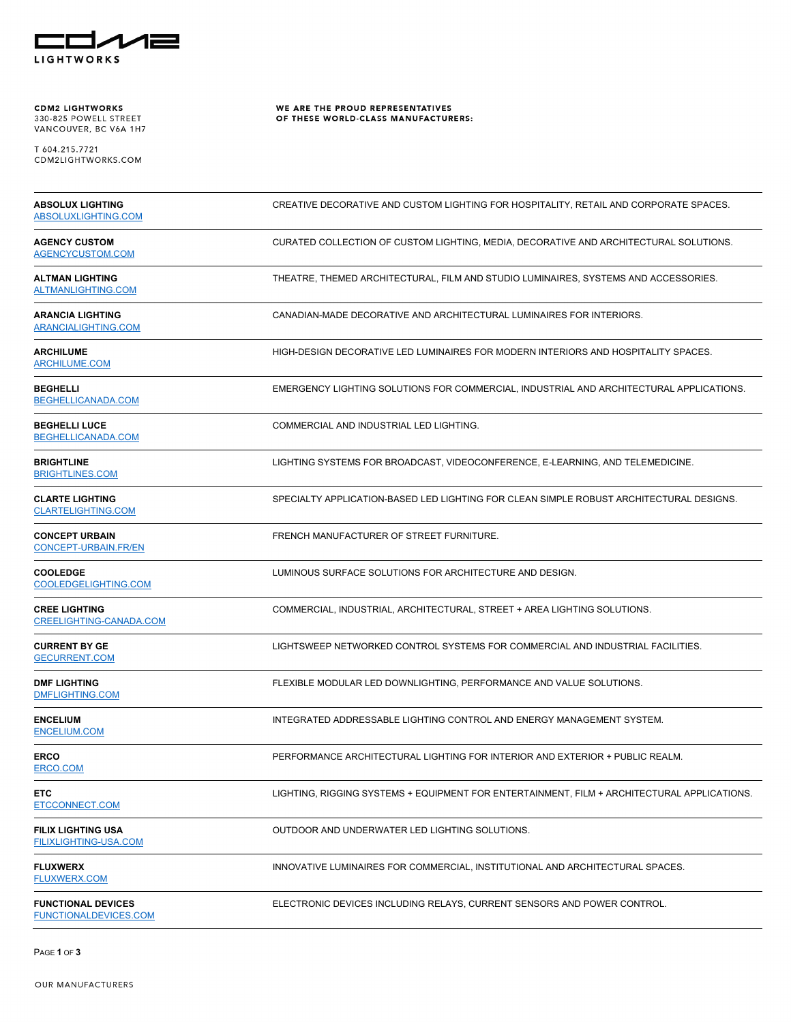

**CDM2 LIGHTWORKS**<br>330-825 POWELL STREET<br>VANCOUVER, BC V6A 1H7

T 604.215.7721<br>CDM2LIGHTWORKS.COM

WE ARE THE PROUD REPRESENTATIVES<br>OF THESE WORLD-CLASS MANUFACTURERS:

| <b>ABSOLUX LIGHTING</b><br><b>ABSOLUXLIGHTING.COM</b>     | CREATIVE DECORATIVE AND CUSTOM LIGHTING FOR HOSPITALITY, RETAIL AND CORPORATE SPACES.       |
|-----------------------------------------------------------|---------------------------------------------------------------------------------------------|
| <b>AGENCY CUSTOM</b><br>AGENCYCUSTOM.COM                  | CURATED COLLECTION OF CUSTOM LIGHTING, MEDIA, DECORATIVE AND ARCHITECTURAL SOLUTIONS.       |
| <b>ALTMAN LIGHTING</b><br><b>ALTMANLIGHTING.COM</b>       | THEATRE, THEMED ARCHITECTURAL, FILM AND STUDIO LUMINAIRES, SYSTEMS AND ACCESSORIES.         |
| <b>ARANCIA LIGHTING</b><br><b>ARANCIALIGHTING.COM</b>     | CANADIAN-MADE DECORATIVE AND ARCHITECTURAL LUMINAIRES FOR INTERIORS.                        |
| <b>ARCHILUME</b><br><b>ARCHILUME.COM</b>                  | HIGH-DESIGN DECORATIVE LED LUMINAIRES FOR MODERN INTERIORS AND HOSPITALITY SPACES.          |
| <b>BEGHELLI</b><br>BEGHELLICANADA.COM                     | EMERGENCY LIGHTING SOLUTIONS FOR COMMERCIAL, INDUSTRIAL AND ARCHITECTURAL APPLICATIONS.     |
| <b>BEGHELLI LUCE</b><br>BEGHELLICANADA.COM                | COMMERCIAL AND INDUSTRIAL LED LIGHTING.                                                     |
| <b>BRIGHTLINE</b><br>BRIGHTLINES.COM                      | LIGHTING SYSTEMS FOR BROADCAST, VIDEOCONFERENCE, E-LEARNING, AND TELEMEDICINE.              |
| <b>CLARTE LIGHTING</b><br><b>CLARTELIGHTING.COM</b>       | SPECIALTY APPLICATION-BASED LED LIGHTING FOR CLEAN SIMPLE ROBUST ARCHITECTURAL DESIGNS.     |
| <b>CONCEPT URBAIN</b><br><b>CONCEPT-URBAIN.FR/EN</b>      | FRENCH MANUFACTURER OF STREET FURNITURE.                                                    |
| <b>COOLEDGE</b><br>COOLEDGELIGHTING.COM                   | LUMINOUS SURFACE SOLUTIONS FOR ARCHITECTURE AND DESIGN.                                     |
| <b>CREE LIGHTING</b><br>CREELIGHTING-CANADA.COM           | COMMERCIAL, INDUSTRIAL, ARCHITECTURAL, STREET + AREA LIGHTING SOLUTIONS.                    |
| <b>CURRENT BY GE</b><br><b>GECURRENT.COM</b>              | LIGHTSWEEP NETWORKED CONTROL SYSTEMS FOR COMMERCIAL AND INDUSTRIAL FACILITIES.              |
| <b>DMF LIGHTING</b><br><b>DMFLIGHTING.COM</b>             | FLEXIBLE MODULAR LED DOWNLIGHTING, PERFORMANCE AND VALUE SOLUTIONS.                         |
| <b>ENCELIUM</b><br><b>ENCELIUM.COM</b>                    | INTEGRATED ADDRESSABLE LIGHTING CONTROL AND ENERGY MANAGEMENT SYSTEM.                       |
| <b>ERCO</b><br>ERCO.COM                                   | PERFORMANCE ARCHITECTURAL LIGHTING FOR INTERIOR AND EXTERIOR + PUBLIC REALM.                |
| <b>ETC</b><br>ETCCONNECT.COM                              | LIGHTING, RIGGING SYSTEMS + EQUIPMENT FOR ENTERTAINMENT, FILM + ARCHITECTURAL APPLICATIONS. |
| <b>FILIX LIGHTING USA</b><br><b>FILIXLIGHTING-USA.COM</b> | OUTDOOR AND UNDERWATER LED LIGHTING SOLUTIONS.                                              |
| <b>FLUXWERX</b><br><b>FLUXWERX.COM</b>                    | INNOVATIVE LUMINAIRES FOR COMMERCIAL, INSTITUTIONAL AND ARCHITECTURAL SPACES.               |
| <b>FUNCTIONAL DEVICES</b><br><b>FUNCTIONALDEVICES.COM</b> | ELECTRONIC DEVICES INCLUDING RELAYS, CURRENT SENSORS AND POWER CONTROL.                     |

PAGE **1** OF **3**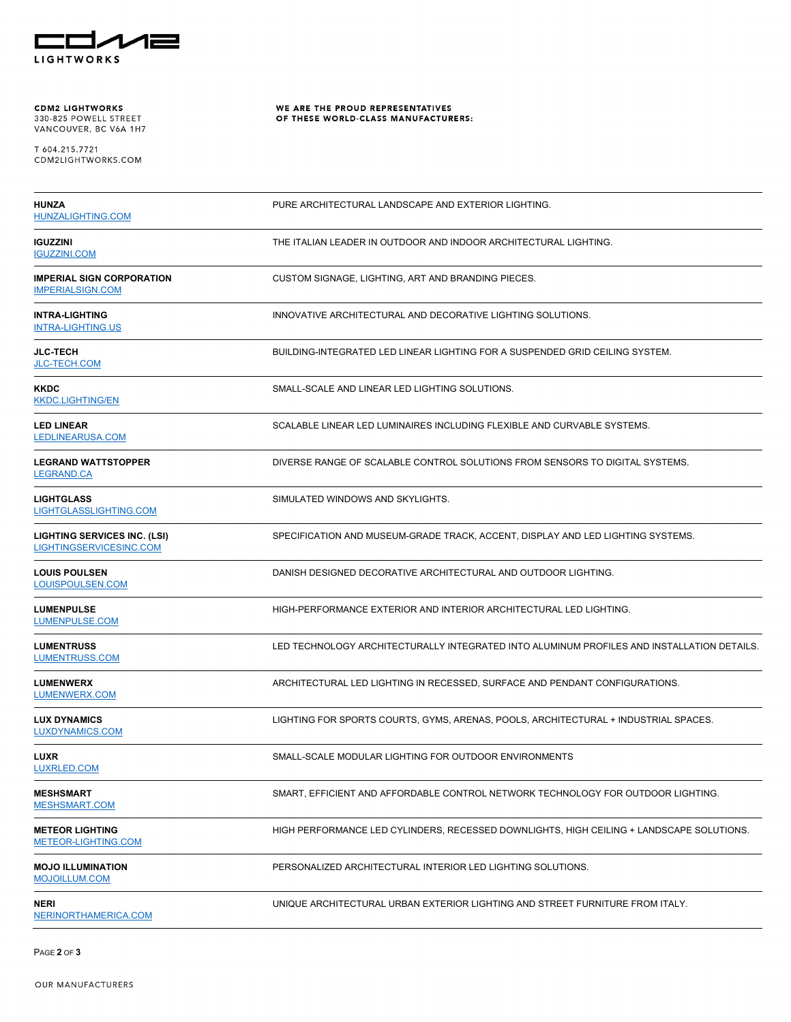

**CDM2 LIGHTWORKS**<br>330-825 POWELL STREET<br>VANCOUVER, BC V6A 1H7

T 604.215.7721<br>CDM2LIGHTWORKS.COM

WE ARE THE PROUD REPRESENTATIVES<br>OF THESE WORLD-CLASS MANUFACTURERS:

| <b>HUNZA</b><br><b>HUNZALIGHTING.COM</b>                       | PURE ARCHITECTURAL LANDSCAPE AND EXTERIOR LIGHTING.                                        |
|----------------------------------------------------------------|--------------------------------------------------------------------------------------------|
| <b>IGUZZINI</b><br><b>IGUZZINI.COM</b>                         | THE ITALIAN LEADER IN OUTDOOR AND INDOOR ARCHITECTURAL LIGHTING.                           |
| <b>IMPERIAL SIGN CORPORATION</b><br><b>IMPERIALSIGN.COM</b>    | CUSTOM SIGNAGE, LIGHTING, ART AND BRANDING PIECES.                                         |
| <b>INTRA-LIGHTING</b><br><b>INTRA-LIGHTING.US</b>              | INNOVATIVE ARCHITECTURAL AND DECORATIVE LIGHTING SOLUTIONS.                                |
| <b>JLC-TECH</b><br>JLC-TECH.COM                                | BUILDING-INTEGRATED LED LINEAR LIGHTING FOR A SUSPENDED GRID CEILING SYSTEM.               |
| <b>KKDC</b><br><b>KKDC.LIGHTING/EN</b>                         | SMALL-SCALE AND LINEAR LED LIGHTING SOLUTIONS.                                             |
| <b>LED LINEAR</b><br>LEDLINEARUSA.COM                          | SCALABLE LINEAR LED LUMINAIRES INCLUDING FLEXIBLE AND CURVABLE SYSTEMS.                    |
| <b>LEGRAND WATTSTOPPER</b><br><b>LEGRAND.CA</b>                | DIVERSE RANGE OF SCALABLE CONTROL SOLUTIONS FROM SENSORS TO DIGITAL SYSTEMS.               |
| <b>LIGHTGLASS</b><br>LIGHTGLASSLIGHTING.COM                    | SIMULATED WINDOWS AND SKYLIGHTS.                                                           |
| <b>LIGHTING SERVICES INC. (LSI)</b><br>LIGHTINGSERVICESINC.COM | SPECIFICATION AND MUSEUM-GRADE TRACK, ACCENT, DISPLAY AND LED LIGHTING SYSTEMS.            |
| <b>LOUIS POULSEN</b><br>LOUISPOULSEN.COM                       | DANISH DESIGNED DECORATIVE ARCHITECTURAL AND OUTDOOR LIGHTING.                             |
| <b>LUMENPULSE</b><br>LUMENPULSE.COM                            | HIGH-PERFORMANCE EXTERIOR AND INTERIOR ARCHITECTURAL LED LIGHTING.                         |
| <b>LUMENTRUSS</b><br>LUMENTRUSS.COM                            | LED TECHNOLOGY ARCHITECTURALLY INTEGRATED INTO ALUMINUM PROFILES AND INSTALLATION DETAILS. |
| <b>LUMENWERX</b><br>LUMENWERX.COM                              | ARCHITECTURAL LED LIGHTING IN RECESSED, SURFACE AND PENDANT CONFIGURATIONS.                |
| <b>LUX DYNAMICS</b><br>LUXDYNAMICS.COM                         | LIGHTING FOR SPORTS COURTS, GYMS, ARENAS, POOLS, ARCHITECTURAL + INDUSTRIAL SPACES.        |
| <b>LUXR</b><br>LUXRLED.COM                                     | SMALL-SCALE MODULAR LIGHTING FOR OUTDOOR ENVIRONMENTS                                      |
| <b>MESHSMART</b><br><b>MESHSMART.COM</b>                       | SMART, EFFICIENT AND AFFORDABLE CONTROL NETWORK TECHNOLOGY FOR OUTDOOR LIGHTING.           |
| <b>METEOR LIGHTING</b><br>METEOR-LIGHTING.COM                  | HIGH PERFORMANCE LED CYLINDERS, RECESSED DOWNLIGHTS, HIGH CEILING + LANDSCAPE SOLUTIONS.   |
| <b>MOJO ILLUMINATION</b><br><b>MOJOILLUM.COM</b>               | PERSONALIZED ARCHITECTURAL INTERIOR LED LIGHTING SOLUTIONS.                                |
| <b>NERI</b><br>NERINORTHAMERICA.COM                            | UNIQUE ARCHITECTURAL URBAN EXTERIOR LIGHTING AND STREET FURNITURE FROM ITALY.              |

PAGE **2** OF **3**